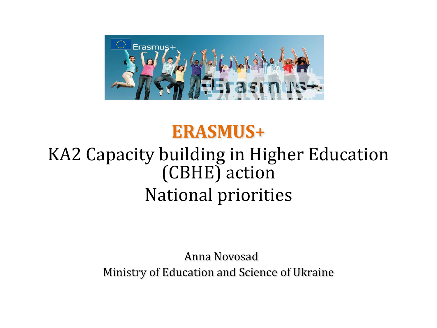

# **ERASMUS**+

# KA2 Capacity building in Higher Education (CBHE) action National priorities

 Anna Novosad Ministry of Education and Science of Ukraine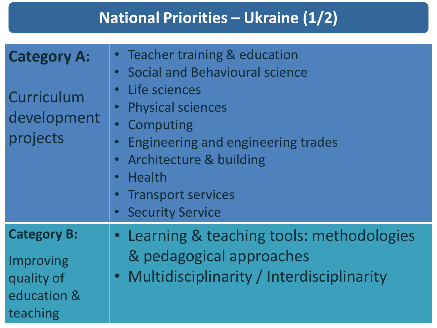### **National Priorities – Ukraine (1/2)**

| <b>Category A:</b><br>Curriculum<br>development<br>projects              | Teacher training & education<br><b>Social and Behavioural science</b><br>$\bullet$<br>Life sciences<br>$\bullet$<br><b>Physical sciences</b><br>Computing<br><b>Engineering and engineering trades</b><br><b>Architecture &amp; building</b><br>$\bullet$<br><b>Health</b><br>$\bullet$<br><b>Transport services</b><br>$\bullet$<br><b>Security Service</b> |
|--------------------------------------------------------------------------|--------------------------------------------------------------------------------------------------------------------------------------------------------------------------------------------------------------------------------------------------------------------------------------------------------------------------------------------------------------|
| <b>Category B:</b><br>Improving<br>quality of<br>education &<br>teaching | Learning & teaching tools: methodologies<br>& pedagogical approaches<br>• Multidisciplinarity / Interdisciplinarity                                                                                                                                                                                                                                          |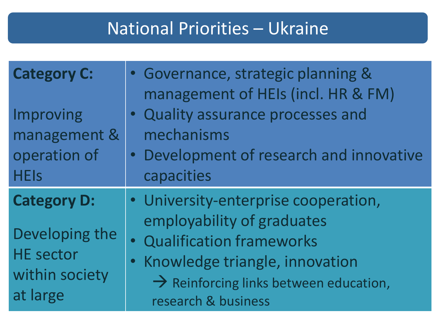# National Priorities – Ukraine

| <b>Category C:</b><br>Improving<br>management &<br>operation of<br><b>HEIs</b>         | • Governance, strategic planning &<br>management of HEIs (incl. HR & FM)<br>• Quality assurance processes and<br>mechanisms<br>• Development of research and innovative<br>capacities                             |
|----------------------------------------------------------------------------------------|-------------------------------------------------------------------------------------------------------------------------------------------------------------------------------------------------------------------|
| <b>Category D:</b><br>Developing the<br><b>HE sector</b><br>within society<br>at large | • University-enterprise cooperation,<br>employability of graduates<br>· Qualification frameworks<br>· Knowledge triangle, innovation<br>$\rightarrow$ Reinforcing links between education,<br>research & business |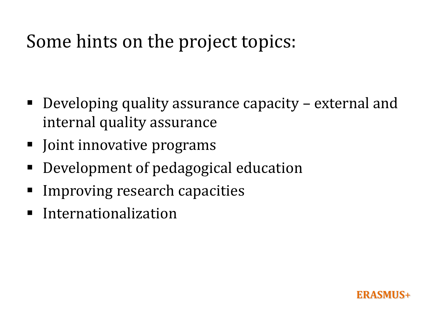# Some hints on the project topics:

- Developing quality assurance capacity external and internal quality assurance
- Joint innovative programs
- Development of pedagogical education
- Improving research capacities
- **Internationalization**

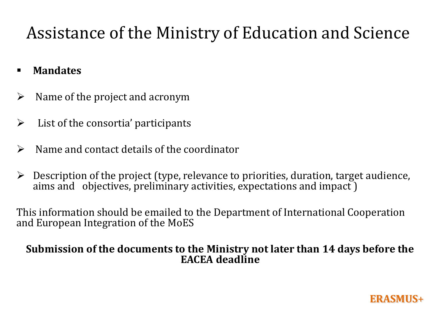# Assistance of the Ministry of Education and Science

- **Mandates**
- $\triangleright$  Name of the project and acronym
- $\triangleright$  List of the consortia' participants
- $\triangleright$  Name and contact details of the coordinator
- $\triangleright$  Description of the project (type, relevance to priorities, duration, target audience, aims and objectives, preliminary activities, expectations and impact )

This information should be emailed to the Department of International Cooperation and European Integration of the MoES

#### **Submission of the documents to the Ministry not later than 14 days before the EACEA deadline**

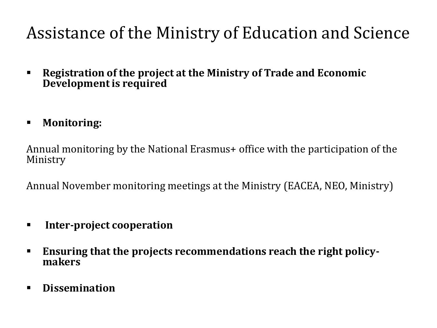# Assistance of the Ministry of Education and Science

- **Registration of the project at the Ministry of Trade and Economic Development is required**
- **Monitoring:**

Annual monitoring by the National Erasmus+ office with the participation of the Ministry

Annual November monitoring meetings at the Ministry (EACEA, NEO, Ministry)

- **Inter-project cooperation**
- **Ensuring that the projects recommendations reach the right policymakers**
- **Dissemination**